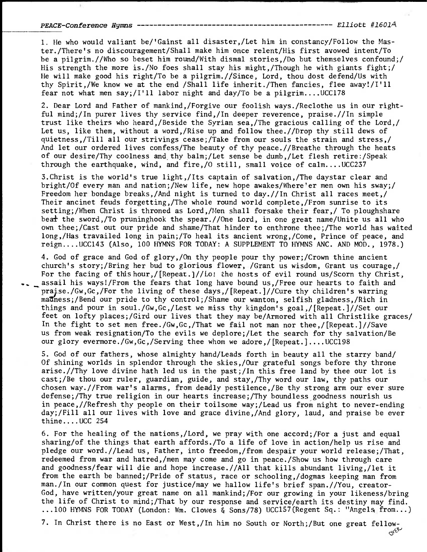## PEACE-Conference Hymns Elliott #16014

1. He who would valiant be/'Gainst all disaster,/Let him in constancy/Follow the Master./There's no discouragement/Shall make him once relent/His first avowed intent/To be a pilgrim.//Who so beset him round/With dismal stories,/Do but themselves confound;/ His strength the more is./No foes shall stay his might,/Though he with giants fight;/ He will make good his right/To be a pilgrim.//Since, Lord, thou dost defend/Us with thy Spirit,/We know we at the end /Shall life inherit./Then fancies, flee away!/I'll fear not what men say;/I'll labor night and day/To be a pilgrim.... $UCC178$ 

2. Dear Lord and Father of mankind,/Forgive our foolish ways./Reclothe us in our rightful mind;/In purer lives thy service find,/In deeper reverence, praise.//In simple trust like theirs who heard,/Beside the Syrian sea,/The gracious calling of the Lord,/ Let us, like them, without a word,/Rise up and follow thee.//Drop thy still dews of quietness,/Till all our strivings cease;/Take from our souls the strain and stress,/ And let our ordered lives confess/The beauty of thy peace.//Breathe through the heats of our desire/Thy coolness and.thy balm;/Let sense be dumb,/Let flesh retire:/Speak through the earthquake, wind, and fire,  $/0$  still, small voice of calm....UCC237

3.Christ is the world's true light,/Its captain of salvation,/The daystar clear and bright/Of every man and nation;/New life, new hope awakes/Where'er men own his sway;/ Freedom her bondage breaks,/And night is turned to day.//In Christ all races meet,/ Their ancinet feuds forgetting,/The whole round world complete,/From sunrise to its setting;/When Christ is throned as Lord,/Men shall forsake their fear,/ To ploughshare bea+ the sword,/To pruninghook the spear.//One Lord, in one great name/Unite us all who own thee;/Cast out our pride and shame/That hinder to enthrone thee;/The world has waited long,/Has travailed long in pain;/To heal its ancient wrong,/Come, Prince of peace, and reign....UCC143 (Also, 100 HYMNS FOR TODAY: A SUPPLEMENT TO HYMNS ANC. AND MOD., 1978.)

4. God of grace and God of glory,/On thy people pour thy power;/Crown thine ancient church's story;/Bring her bud to glorious flower, /Grant us wisdom, Grant us courage,/ For the facing of this hour,  $/$ [Repeat.]//Lo! the hosts of evil round us/Scorn thy Christ, assail his ways!/From the fears that long have bound us,/Free our hearts to faith and praise./Gw,Gc,/For the living of these days,/[Repeat.]//Cure thy children's warring mathess;/Bend our pride to thy control;/Shame our wanton, selfish gladness,/Rich in things and pour in soul./Gw,Gc,/Lest we miss thy kingdom's goal,/[Repeat.]//Set our feet on lofty places;/Gird our lives that they may be/Armored with all Christlike graces/ In the fight to set men free./Gw,Gc,/That we fail not man nor thee,/[Repeat.]//Save us from weak resignation/To the evils we deplore;/Let the search for thy salvation/Be our glory evermore./Gw,Gc,/Serving thee whom we adore,/[Repeat.]....UCC198

5. God of our fathers, whose almighty hand/Leads forth in beauty all the starry band/ Of shining worlds in splendor through the skies,/Our grateful songs before thy throne arise.//Thy love divine hath led us in the past;/In this free land by thee our lot is cast;/Be thou our ruler, guardian, guide, and stay,/Thy word our law, thy paths our chosen way.//From war's alarms, from deadly pestilence,/Be thy strong arm our ever sure defense;/Thy true religion in our hearts increase;/Thy boundless goodness nourish us in peace,//Refresh thy people on their toilsome way;/Lead us from night to never-ending day;/Fill all our lives with love and grace divine,/And glory, laud, and praise be ever thine....UCC 254

6. For the healing of the nations,/Lord, we pray with one accord;/For a just and equal sharing/of the things that earth affords./To a life of love in action/help us rise and pledge our word.//Lead us, Father, into freedom,/from despair your world release;/That, redeemed from war and hatred,/men may come and go in peace./Show us how through care and goodness/fear will die and hope increase.//All that kills abundant living,/let it from the earth be banned;/Pride of status, race or schooling,/dogmas keeping man from man./In our common quest for justice/may we hallow life's brief span.//You, creator-God, have written/your great name on all mankind;/For our growing in your likeness/bring the life of Christ to mind;/That by our response and service/earth its destiny may find. ...100 HYMNS FOR TODAY (London: Wm. Clowes & Sons/78) UCC157(Regent Sq.: "Angels, from...)

7. In Christ there is no East or West,/In him no South or North;/But one great fellow-